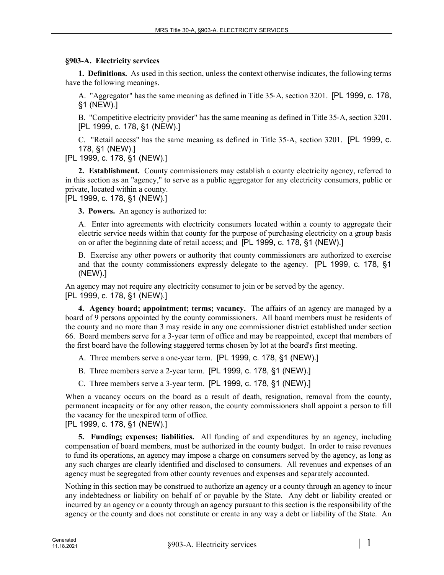## **§903-A. Electricity services**

**1. Definitions.** As used in this section, unless the context otherwise indicates, the following terms have the following meanings.

A. "Aggregator" has the same meaning as defined in Title 35‑A, section 3201. [PL 1999, c. 178, §1 (NEW).]

B. "Competitive electricity provider" has the same meaning as defined in Title 35‑A, section 3201. [PL 1999, c. 178, §1 (NEW).]

C. "Retail access" has the same meaning as defined in Title 35‑A, section 3201. [PL 1999, c. 178, §1 (NEW).]

[PL 1999, c. 178, §1 (NEW).]

**2. Establishment.** County commissioners may establish a county electricity agency, referred to in this section as an "agency," to serve as a public aggregator for any electricity consumers, public or private, located within a county.

[PL 1999, c. 178, §1 (NEW).]

**3. Powers.** An agency is authorized to:

A. Enter into agreements with electricity consumers located within a county to aggregate their electric service needs within that county for the purpose of purchasing electricity on a group basis on or after the beginning date of retail access; and [PL 1999, c. 178, §1 (NEW).]

B. Exercise any other powers or authority that county commissioners are authorized to exercise and that the county commissioners expressly delegate to the agency. [PL 1999, c. 178, §1 (NEW).]

An agency may not require any electricity consumer to join or be served by the agency. [PL 1999, c. 178, §1 (NEW).]

**4. Agency board; appointment; terms; vacancy.** The affairs of an agency are managed by a board of 9 persons appointed by the county commissioners. All board members must be residents of the county and no more than 3 may reside in any one commissioner district established under section 66. Board members serve for a 3-year term of office and may be reappointed, except that members of the first board have the following staggered terms chosen by lot at the board's first meeting.

- A. Three members serve a one-year term. [PL 1999, c. 178, §1 (NEW).]
- B. Three members serve a 2-year term. [PL 1999, c. 178, §1 (NEW).]
- C. Three members serve a 3-year term. [PL 1999, c. 178, §1 (NEW).]

When a vacancy occurs on the board as a result of death, resignation, removal from the county, permanent incapacity or for any other reason, the county commissioners shall appoint a person to fill the vacancy for the unexpired term of office.

[PL 1999, c. 178, §1 (NEW).]

**5. Funding; expenses; liabilities.** All funding of and expenditures by an agency, including compensation of board members, must be authorized in the county budget. In order to raise revenues to fund its operations, an agency may impose a charge on consumers served by the agency, as long as any such charges are clearly identified and disclosed to consumers. All revenues and expenses of an agency must be segregated from other county revenues and expenses and separately accounted.

Nothing in this section may be construed to authorize an agency or a county through an agency to incur any indebtedness or liability on behalf of or payable by the State. Any debt or liability created or incurred by an agency or a county through an agency pursuant to this section is the responsibility of the agency or the county and does not constitute or create in any way a debt or liability of the State. An